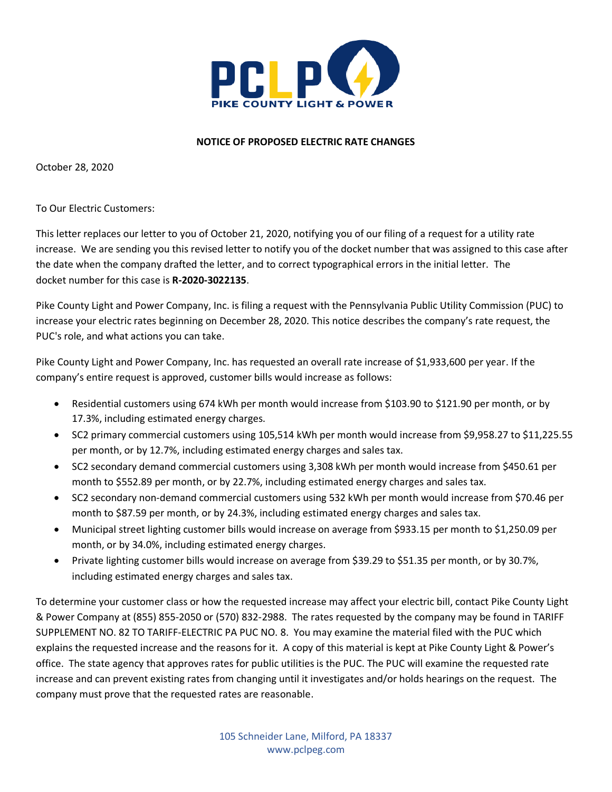

## **NOTICE OF PROPOSED ELECTRIC RATE CHANGES**

October 28, 2020

## To Our Electric Customers:

This letter replaces our letter to you of October 21, 2020, notifying you of our filing of a request for a utility rate increase. We are sending you this revised letter to notify you of the docket number that was assigned to this case after the date when the company drafted the letter, and to correct typographical errors in the initial letter. The docket number for this case is **R-2020-3022135**.

Pike County Light and Power Company, Inc. is filing a request with the Pennsylvania Public Utility Commission (PUC) to increase your electric rates beginning on December 28, 2020. This notice describes the company's rate request, the PUC's role, and what actions you can take.

Pike County Light and Power Company, Inc. has requested an overall rate increase of \$1,933,600 per year. If the company's entire request is approved, customer bills would increase as follows:

- Residential customers using 674 kWh per month would increase from \$103.90 to \$121.90 per month, or by 17.3%, including estimated energy charges.
- SC2 primary commercial customers using 105,514 kWh per month would increase from \$9,958.27 to \$11,225.55 per month, or by 12.7%, including estimated energy charges and sales tax.
- SC2 secondary demand commercial customers using 3,308 kWh per month would increase from \$450.61 per month to \$552.89 per month, or by 22.7%, including estimated energy charges and sales tax.
- SC2 secondary non-demand commercial customers using 532 kWh per month would increase from \$70.46 per month to \$87.59 per month, or by 24.3%, including estimated energy charges and sales tax.
- Municipal street lighting customer bills would increase on average from \$933.15 per month to \$1,250.09 per month, or by 34.0%, including estimated energy charges.
- Private lighting customer bills would increase on average from \$39.29 to \$51.35 per month, or by 30.7%, including estimated energy charges and sales tax.

To determine your customer class or how the requested increase may affect your electric bill, contact Pike County Light & Power Company at (855) 855-2050 or (570) 832-2988. The rates requested by the company may be found in TARIFF SUPPLEMENT NO. 82 TO TARIFF-ELECTRIC PA PUC NO. 8. You may examine the material filed with the PUC which explains the requested increase and the reasons for it. A copy of this material is kept at Pike County Light & Power's office. The state agency that approves rates for public utilities is the PUC. The PUC will examine the requested rate increase and can prevent existing rates from changing until it investigates and/or holds hearings on the request. The company must prove that the requested rates are reasonable.